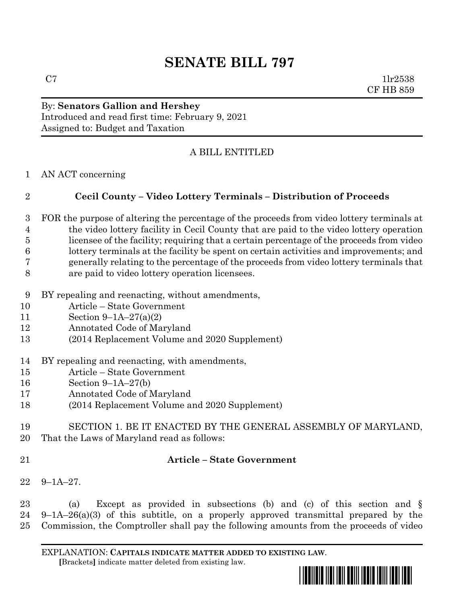# **SENATE BILL 797**

 $C7$  1lr2538 CF HB 859

#### By: **Senators Gallion and Hershey** Introduced and read first time: February 9, 2021 Assigned to: Budget and Taxation

# A BILL ENTITLED

AN ACT concerning

## **Cecil County – Video Lottery Terminals – Distribution of Proceeds**

- FOR the purpose of altering the percentage of the proceeds from video lottery terminals at the video lottery facility in Cecil County that are paid to the video lottery operation licensee of the facility; requiring that a certain percentage of the proceeds from video lottery terminals at the facility be spent on certain activities and improvements; and generally relating to the percentage of the proceeds from video lottery terminals that are paid to video lottery operation licensees.
- BY repealing and reenacting, without amendments,
- Article State Government
- Section 9–1A–27(a)(2)
- Annotated Code of Maryland
- (2014 Replacement Volume and 2020 Supplement)
- BY repealing and reenacting, with amendments,
- Article State Government
- Section 9–1A–27(b)
- Annotated Code of Maryland
- (2014 Replacement Volume and 2020 Supplement)
- SECTION 1. BE IT ENACTED BY THE GENERAL ASSEMBLY OF MARYLAND, That the Laws of Maryland read as follows:
- 

## **Article – State Government**

9–1A–27.

 (a) Except as provided in subsections (b) and (c) of this section and § 9–1A–26(a)(3) of this subtitle, on a properly approved transmittal prepared by the Commission, the Comptroller shall pay the following amounts from the proceeds of video

EXPLANATION: **CAPITALS INDICATE MATTER ADDED TO EXISTING LAW**.  **[**Brackets**]** indicate matter deleted from existing law.